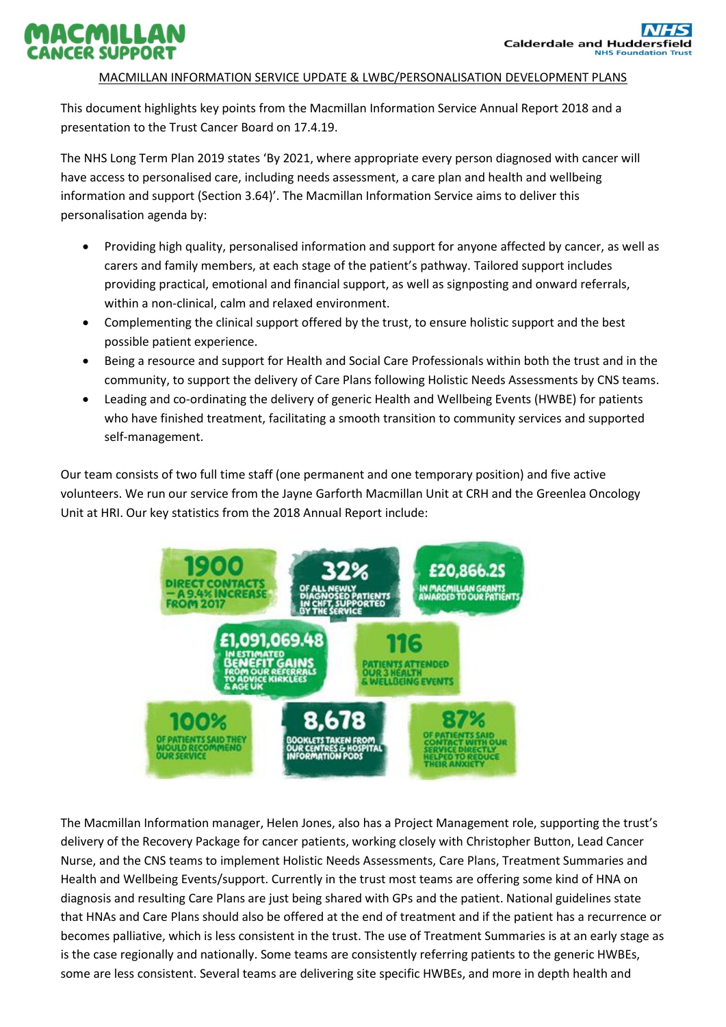## MACMILLAN **JCER SUPPORT**

## MACMILLAN INFORMATION SERVICE UPDATE & LWBC/PERSONALISATION DEVELOPMENT PLANS

This document highlights key points from the Macmillan Information Service Annual Report 2018 and a presentation to the Trust Cancer Board on 17.4.19.

The NHS Long Term Plan 2019 states 'By 2021, where appropriate every person diagnosed with cancer will have access to personalised care, including needs assessment, a care plan and health and wellbeing information and support (Section 3.64)'. The Macmillan Information Service aims to deliver this personalisation agenda by:

- Providing high quality, personalised information and support for anyone affected by cancer, as well as carers and family members, at each stage of the patient's pathway. Tailored support includes providing practical, emotional and financial support, as well as signposting and onward referrals, within a non-clinical, calm and relaxed environment.
- Complementing the clinical support offered by the trust, to ensure holistic support and the best possible patient experience.
- Being a resource and support for Health and Social Care Professionals within both the trust and in the community, to support the delivery of Care Plans following Holistic Needs Assessments by CNS teams.
- Leading and co-ordinating the delivery of generic Health and Wellbeing Events (HWBE) for patients who have finished treatment, facilitating a smooth transition to community services and supported self-management.

Our team consists of two full time staff (one permanent and one temporary position) and five active volunteers. We run our service from the Jayne Garforth Macmillan Unit at CRH and the Greenlea Oncology Unit at HRI. Our key statistics from the 2018 Annual Report include:



The Macmillan Information manager, Helen Jones, also has a Project Management role, supporting the trust's delivery of the Recovery Package for cancer patients, working closely with Christopher Button, Lead Cancer Nurse, and the CNS teams to implement Holistic Needs Assessments, Care Plans, Treatment Summaries and Health and Wellbeing Events/support. Currently in the trust most teams are offering some kind of HNA on diagnosis and resulting Care Plans are just being shared with GPs and the patient. National guidelines state that HNAs and Care Plans should also be offered at the end of treatment and if the patient has a recurrence or becomes palliative, which is less consistent in the trust. The use of Treatment Summaries is at an early stage as is the case regionally and nationally. Some teams are consistently referring patients to the generic HWBEs, some are less consistent. Several teams are delivering site specific HWBEs, and more in depth health and